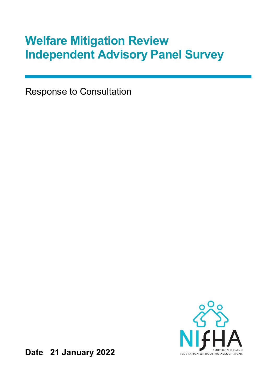# Welfare Mitigation Review Independent Advisory Panel Survey

Response to Consultation



Date 21 January 2022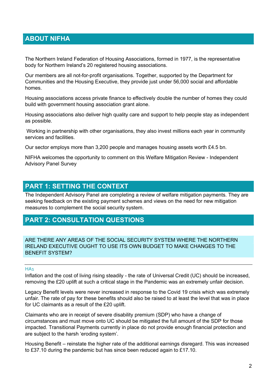# ABOUT NIFHA

The Northern Ireland Federation of Housing Associations, formed in 1977, is the representative body for Northern Ireland's 20 registered housing associations.

Our members are all not-for-profit organisations. Together, supported by the Department for Communities and the Housing Executive, they provide just under 56,000 social and affordable homes.

Housing associations access private finance to effectively double the number of homes they could build with government housing association grant alone.

Housing associations also deliver high quality care and support to help people stay as independent as possible.

 Working in partnership with other organisations, they also invest millions each year in community services and facilities.

Our sector employs more than 3,200 people and manages housing assets worth £4.5 bn.

NIFHA welcomes the opportunity to comment on this Welfare Mitigation Review - Independent Advisory Panel Survey

## PART 1: SETTING THE CONTEXT

The Independent Advisory Panel are completing a review of welfare mitigation payments. They are seeking feedback on the existing payment schemes and views on the need for new mitigation measures to complement the social security system.

## PART 2: CONSULTATION QUESTIONS

ARE THERE ANY AREAS OF THE SOCIAL SECURITY SYSTEM WHERE THE NORTHERN IRELAND EXECUTIVE OUGHT TO USE ITS OWN BUDGET TO MAKE CHANGES TO THE BENEFIT SYSTEM?

## HA<sub>1</sub>

Inflation and the cost of living rising steadily - the rate of Universal Credit (UC) should be increased, removing the £20 uplift at such a critical stage in the Pandemic was an extremely unfair decision.

Legacy Benefit levels were never increased in response to the Covid 19 crisis which was extremely unfair. The rate of pay for these benefits should also be raised to at least the level that was in place for UC claimants as a result of the £20 uplift.

Claimants who are in receipt of severe disability premium (SDP) who have a change of circumstances and must move onto UC should be mitigated the full amount of the SDP for those impacted. Transitional Payments currently in place do not provide enough financial protection and are subject to the harsh 'eroding system'.

Housing Benefit – reinstate the higher rate of the additional earnings disregard. This was increased to £37.10 during the pandemic but has since been reduced again to £17.10.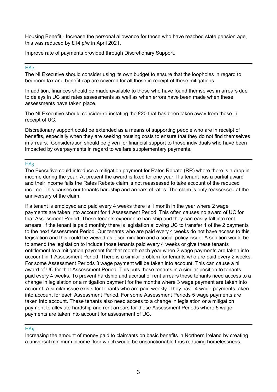Housing Benefit - Increase the personal allowance for those who have reached state pension age, this was reduced by £14 p/w in April 2021.

Improve rate of payments provided through Discretionary Support.

## H<sub>A2</sub>

The NI Executive should consider using its own budget to ensure that the loopholes in regard to bedroom tax and benefit cap are covered for all those in receipt of these mitigations.

In addition, finances should be made available to those who have found themselves in arrears due to delays in UC and rates assessments as well as when errors have been made when these assessments have taken place.

The NI Executive should consider re-instating the £20 that has been taken away from those in receipt of UC.

Discretionary support could be extended as a means of supporting people who are in receipt of benefits, especially when they are seeking housing costs to ensure that they do not find themselves in arrears. Consideration should be given for financial support to those individuals who have been impacted by overpayments in regard to welfare supplementary payments.

## HA3

The Executive could introduce a mitigation payment for Rates Rebate (RR) where there is a drop in income during the year. At present the award is fixed for one year. If a tenant has a partial award and their income falls the Rates Rebate claim is not reassessed to take account of the reduced income. This causes our tenants hardship and arrears of rates. The claim is only reassessed at the anniversary of the claim.

If a tenant is employed and paid every 4 weeks there is 1 month in the year where 2 wage payments are taken into account for 1 Assessment Period. This often causes no award of UC for that Assessment Period. These tenants experience hardship and they can easily fall into rent arrears. If the tenant is paid monthly there is legislation allowing UC to transfer 1 of the 2 payments to the next Assessment Period. Our tenants who are paid every 4 weeks do not have access to this legislation and this could be viewed as discrimination and a social policy issue. A solution would be to amend the legislation to include those tenants paid every 4 weeks or give these tenants entitlement to a mitigation payment for that month each year when 2 wage payments are taken into account in 1 Assessment Period. There is a similar problem for tenants who are paid every 2 weeks. For some Assessment Periods 3 wage payment will be taken into account. This can cause a nil award of UC for that Assessment Period. This puts these tenants in a similar position to tenants paid every 4 weeks. To prevent hardship and accrual of rent arrears these tenants need access to a change in legislation or a mitigation payment for the months where 3 wage payment are taken into account. A similar issue exists for tenants who are paid weekly. They have 4 wage payments taken into account for each Assessment Period. For some Assessment Periods 5 wage payments are taken into account. These tenants also need access to a change in legislation or a mitigation payment to alleviate hardship and rent arrears for those Assessment Periods where 5 wage payments are taken into account for assessment of UC.

## HA<sub>5</sub>

Increasing the amount of money paid to claimants on basic benefits in Northern Ireland by creating a universal minimum income floor which would be unsanctionable thus reducing homelessness.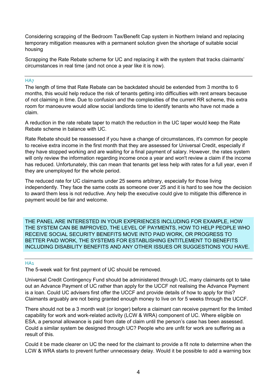Considering scrapping of the Bedroom Tax/Benefit Cap system in Northern Ireland and replacing temporary mitigation measures with a permanent solution given the shortage of suitable social housing

Scrapping the Rate Rebate scheme for UC and replacing it with the system that tracks claimants' circumstances in real time (and not once a year like it is now).

## H<sub>A7</sub>

The length of time that Rate Rebate can be backdated should be extended from 3 months to 6 months, this would help reduce the risk of tenants getting into difficulties with rent arrears because of not claiming in time. Due to confusion and the complexities of the current RR scheme, this extra room for manoeuvre would allow social landlords time to identify tenants who have not made a claim.

A reduction in the rate rebate taper to match the reduction in the UC taper would keep the Rate Rebate scheme in balance with UC.

Rate Rebate should be reassessed if you have a change of circumstances, it's common for people to receive extra income in the first month that they are assessed for Universal Credit, especially if they have stopped working and are waiting for a final payment of salary. However, the rates system will only review the information regarding income once a year and won't review a claim if the income has reduced. Unfortunately, this can mean that tenants get less help with rates for a full year, even if they are unemployed for the whole period.

The reduced rate for UC claimants under 25 seems arbitrary, especially for those living independently. They face the same costs as someone over 25 and it is hard to see how the decision to award them less is not reductive. Any help the executive could give to mitigate this difference in payment would be fair and welcome.

THE PANEL ARE INTERESTED IN YOUR EXPERIENCES INCLUDING FOR EXAMPLE, HOW THE SYSTEM CAN BE IMPROVED, THE LEVEL OF PAYMENTS, HOW TO HELP PEOPLE WHO RECEIVE SOCIAL SECURITY BENEFITS MOVE INTO PAID WORK, OR PROGRESS TO BETTER PAID WORK, THE SYSTEMS FOR ESTABLISHING ENTITLEMENT TO BENEFITS INCLUDING DISABILITY BENEFITS AND ANY OTHER ISSUES OR SUGGESTIONS YOU HAVE.

## HA<sub>1</sub>

The 5-week wait for first payment of UC should be removed.

Universal Credit Contingency Fund should be administered through UC, many claimants opt to take out an Advance Payment of UC rather than apply for the UCCF not realising the Advance Payment is a loan. Could UC advisers first offer the UCCF and provide details of how to apply for this? Claimants arguably are not being granted enough money to live on for 5 weeks through the UCCF.

There should not be a 3 month wait (or longer) before a claimant can receive payment for the limited capability for work and work-related activity (LCW & WRA) component of UC. Where eligible on ESA, a personal allowance is paid from date of claim until the person's case has been assessed. Could a similar system be designed through UC? People who are unfit for work are suffering as a result of this.

Could it be made clearer on UC the need for the claimant to provide a fit note to determine when the LCW & WRA starts to prevent further unnecessary delay. Would it be possible to add a warning box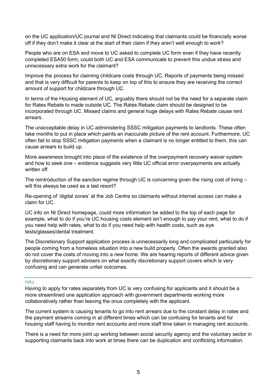on the UC application/UC journal and NI Direct indicating that claimants could be financially worse off if they don't make it clear at the start of their claim if they aren't well enough to work?

People who are on ESA and move to UC asked to complete UC form even if they have recently completed ESA50 form, could both UC and ESA communicate to prevent this undue stress and unnecessary extra work for the claimant?

Improve the process for claiming childcare costs through UC. Reports of payments being missed and that is very difficult for parents to keep on top of this to ensure they are receiving the correct amount of support for childcare through UC.

In terms of the Housing element of UC, arguably there should not be the need for a separate claim for Rates Rebate to made outside UC. The Rates Rebate claim should be designed to be incorporated through UC. Missed claims and general huge delays with Rates Rebate cause rent arrears.

The unacceptable delay in UC administering SSSC mitigation payments to landlords. These often take months to put in place which paints an inaccurate picture of the rent account. Furthermore, UC often fail to stop SSSC mitigation payments when a claimant is no longer entitled to them, this can cause arrears to build up.

More awareness brought into place of the existence of the overpayment recovery waiver system and how to seek one – evidence suggests very little UC official error overpayments are actually written off.

The reintroduction of the sanction regime through UC is concerning given the rising cost of living – will this always be used as a last resort?

Re-opening of 'digital zones' at the Job Centre so claimants without internet access can make a claim for UC.

UC info on NI Direct homepage, could more information be added to the top of each page for example, what to do if you're UC housing costs element isn't enough to pay your rent, what to do if you need help with rates, what to do if you need help with health costs, such as eye tests/glasses/dental treatment.

The Discretionary Support application process is unnecessarily long and complicated particularly for people coming from a homeless situation into a new build property. Often the awards granted also do not cover the costs of moving into a new home. We are hearing reports of different advice given by discretionary support advisers on what exactly discretionary support covers which is very confusing and can generate unfair outcomes.

## $HAD$

Having to apply for rates separately from UC is very confusing for applicants and it should be a more streamlined one application approach with government departments working more collaboratively rather than leaving the onus completely with the applicant.

The current system is causing tenants to go into rent arrears due to the constant delay in rates and the payment streams coming in at different times which can be confusing for tenants and for housing staff having to monitor rent accounts and more staff time taken in managing rent accounts.

There is a need for more joint up working between social security agency and the voluntary sector in supporting claimants back into work at times there can be duplication and conflicting information.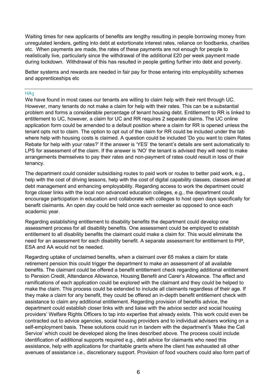Waiting times for new applicants of benefits are lengthy resulting in people borrowing money from unregulated lenders, getting into debt at extortionate interest rates, reliance on foodbanks, charities etc. When payments are made, the rates of these payments are not enough for people to realistically live, particularly since the withdrawal of the additional £20 per week payment made during lockdown. Withdrawal of this has resulted in people getting further into debt and poverty.

Better systems and rewards are needed in fair pay for those entering into employability schemes and apprenticeships etc

## $HA<sub>3</sub>$

We have found in most cases our tenants are willing to claim help with their rent through UC. However, many tenants do not make a claim for help with their rates. This can be a substantial problem and forms a considerable percentage of tenant housing debt. Entitlement to RR is linked to entitlement to UC, however, a claim for UC and RR requires 2 separate claims. The UC online application form could be amended to a default position where a claim for RR is opened unless the tenant opts not to claim. The option to opt out of the claim for RR could be included under the tab where help with housing costs is claimed. A question could be included 'Do you want to claim Rates Rebate for help with your rates?' If the answer is 'YES' the tenant's details are sent automatically to LPS for assessment of the claim. If the answer is 'NO' the tenant is advised they will need to make arrangements themselves to pay their rates and non-payment of rates could result in loss of their tenancy.

The department could consider subsidising routes to paid work or routes to better paid work, e.g., help with the cost of driving lessons, help with the cost of digital capability classes, classes aimed at debt management and enhancing employability. Regarding access to work the department could forge closer links with the local non advanced education colleges, e.g., the department could encourage participation in education and collaborate with colleges to host open days specifically for benefit claimants. An open day could be held once each semester as opposed to once each academic year.

Regarding establishing entitlement to disability benefits the department could develop one assessment process for all disability benefits. One assessment could be employed to establish entitlement to all disability benefits the claimant could make a claim for. This would eliminate the need for an assessment for each disability benefit. A separate assessment for entitlement to PIP, ESA and AA would not be needed.

Regarding uptake of unclaimed benefits, when a claimant over 65 makes a claim for state retirement pension this could trigger the department to make an assessment of all available benefits. The claimant could be offered a benefit entitlement check regarding additional entitlement to Pension Credit, Attendance Allowance, Housing Benefit and Carer's Allowance. The effect and ramifications of each application could be explored with the claimant and they could be helped to make the claim. This process could be extended to include all claimants regardless of their age. If they make a claim for any benefit, they could be offered an in-depth benefit entitlement check with assistance to claim any additional entitlement. Regarding provision of benefits advice, the department could establish closer links with and liaise with the advice sector and social housing providers' Welfare Rights Officers to tap into expertise that already exists. This work could even be contracted out to advice agencies, social housing providers and to individual advisers working on a self-employment basis. These solutions could run in tandem with the department's 'Make the Call Service' which could be developed along the lines described above. The process could include identification of additional supports required e.g., debt advice for claimants who need this assistance, help with applications for charitable grants where the client has exhausted all other avenues of assistance i.e., discretionary support. Provision of food vouchers could also form part of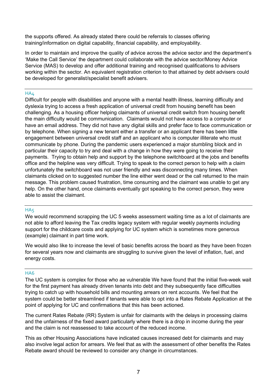the supports offered. As already stated there could be referrals to classes offering training/information on digital capability, financial capability, and employability.

In order to maintain and improve the quality of advice across the advice sector and the department's 'Make the Call Service' the department could collaborate with the advice sector/Money Advice Service (MAS) to develop and offer additional training and recognised qualifications to advisers working within the sector. An equivalent registration criterion to that attained by debt advisers could be developed for generalist/specialist benefit advisers.

## HA4

Difficult for people with disabilities and anyone with a mental health illness, learning difficulty and dyslexia trying to access a fresh application of universal credit from housing benefit has been challenging. As a housing officer helping claimants of universal credit switch from housing benefit the main difficulty would be communication. Claimants would not have access to a computer or have an email address. They did not have any digital skills and prefer face to face communication or by telephone. When signing a new tenant either a transfer or an applicant there has been little engagement between universal credit staff and an applicant who is computer illiterate who must communicate by phone. During the pandemic users experienced a major stumbling block and in particular their capacity to try and deal with a change in how they were going to receive their payments. Trying to obtain help and support by the telephone switchboard at the jobs and benefits office and the helpline was very difficult. Trying to speak to the correct person to help with a claim unfortunately the switchboard was not user friendly and was disconnecting many times. When claimants clicked on to suggested number the line either went dead or the call returned to the main message. This problem caused frustration, time consuming and the claimant was unable to get any help. On the other hand, once claimants eventually got speaking to the correct person, they were able to assist the claimant.

## HA<sub>5</sub>

We would recommend scrapping the UC 5 weeks assessment waiting time as a lot of claimants are not able to afford leaving the Tax credits legacy system with regular weekly payments including support for the childcare costs and applying for UC system which is sometimes more generous (example) claimant in part time work.

We would also like to increase the level of basic benefits across the board as they have been frozen for several years now and claimants are struggling to survive given the level of inflation, fuel, and energy costs.

## HA6

The UC system is complex for those who ae vulnerable We have found that the initial five-week wait for the first payment has already driven tenants into debt and they subsequently face difficulties trying to catch up with household bills and mounting arrears on rent accounts. We feel that the system could be better streamlined if tenants were able to opt into a Rates Rebate Application at the point of applying for UC and confirmations that this has been actioned.

The current Rates Rebate (RR) System is unfair for claimants with the delays in processing claims and the unfairness of the fixed award particularly where there is a drop in income during the year and the claim is not reassessed to take account of the reduced income.

This as other Housing Associations have indicated causes increased debt for claimants and may also involve legal action for arrears. We feel that as with the assessment of other benefits the Rates Rebate award should be reviewed to consider any change in circumstances.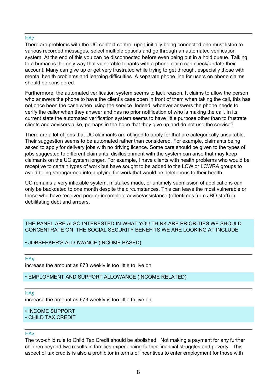## H<sub>A7</sub>

There are problems with the UC contact centre, upon initially being connected one must listen to various recorded messages, select multiple options and go through an automated verification system. At the end of this you can be disconnected before even being put in a hold queue. Talking to a human is the only way that vulnerable tenants with a phone claim can check/update their account. Many can give up or get very frustrated while trying to get through, especially those with mental health problems and learning difficulties. A separate phone line for users on phone claims should be considered.

Furthermore, the automated verification system seems to lack reason. It claims to allow the person who answers the phone to have the client's case open in front of them when taking the call, this has not once been the case when using the service. Indeed, whoever answers the phone needs to verify the caller when they answer and has no prior notification of who is making the call. In its current state the automated verification system seems to have little purpose other than to frustrate clients and advisers alike, perhaps in the hope that they give up and do not use the service?

There are a lot of jobs that UC claimants are obliged to apply for that are categorically unsuitable. Their suggestion seems to be automated rather than considered. For example, claimants being asked to apply for delivery jobs with no driving licence. Some care should be given to the types of jobs suggested to different claimants, disillusionment with the system can arise that may keep claimants on the UC system longer. For example, I have clients with health problems who would be receptive to certain types of work but have sought to be added to the LCW or LCWRA groups to avoid being strongarmed into applying for work that would be deleterious to their health.

UC remains a very inflexible system, mistakes made, or untimely submission of applications can only be backdated to one month despite the circumstances. This can leave the most vulnerable or those who have received poor or incomplete advice/assistance (oftentimes from JBO staff) in debilitating debt and arrears.

## THE PANEL ARE ALSO INTERESTED IN WHAT YOU THINK ARE PRIORITIES WE SHOULD CONCENTRATE ON. THE SOCIAL SECURITY BENEFITS WE ARE LOOKING AT INCLUDE

## • JOBSEEKER'S ALLOWANCE (INCOME BASED)

HA<sub>5</sub> increase the amount as £73 weekly is too little to live on

## • EMPLOYMENT AND SUPPORT ALLOWANCE (INCOME RELATED)

## HA<sub>5</sub>

increase the amount as £73 weekly is too little to live on

## • INCOME SUPPORT

## • CHILD TAX CREDIT

## $HAD$

The two-child rule to Child Tax Credit should be abolished. Not making a payment for any further children beyond two results in families experiencing further financial struggles and poverty. This aspect of tax credits is also a prohibitor in terms of incentives to enter employment for those with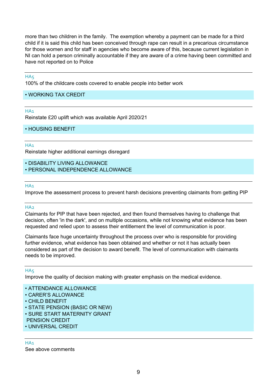more than two children in the family. The exemption whereby a payment can be made for a third child if it is said this child has been conceived through rape can result in a precarious circumstance for those women and for staff in agencies who become aware of this, because current legislation in NI can hold a person criminally accountable if they are aware of a crime having been committed and have not reported on to Police

## HA<sub>5</sub>

100% of the childcare costs covered to enable people into better work

## • WORKING TAX CREDIT

## HA<sub>1</sub>

Reinstate £20 uplift which was available April 2020/21

• HOUSING BENEFIT

## HA<sub>1</sub>

Reinstate higher additional earnings disregard

- DISABILITY LIVING ALLOWANCE
- PERSONAL INDEPENDENCE ALLOWANCE

## HA<sub>1</sub>

Improve the assessment process to prevent harsh decisions preventing claimants from getting PIP

## $HAD$

Claimants for PIP that have been rejected, and then found themselves having to challenge that decision, often 'in the dark', and on multiple occasions, while not knowing what evidence has been requested and relied upon to assess their entitlement the level of communication is poor.

Claimants face huge uncertainty throughout the process over who is responsible for providing further evidence, what evidence has been obtained and whether or not it has actually been considered as part of the decision to award benefit. The level of communication with claimants needs to be improved.

## HA<sub>5</sub>

Improve the quality of decision making with greater emphasis on the medical evidence.

- ATTENDANCE ALLOWANCE
- CARER'S ALLOWANCE
- CHILD BENEFIT
- STATE PENSION (BASIC OR NEW)
- SURE START MATERNITY GRANT
- PENSION CREDIT
- UNIVERSAL CREDIT

## HA<sub>1</sub>

See above comments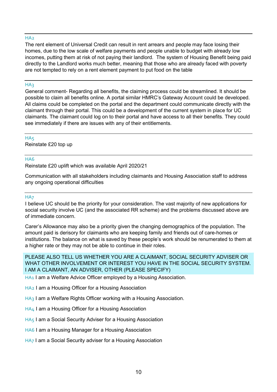## H<sub>A2</sub>

The rent element of Universal Credit can result in rent arrears and people may face losing their homes, due to the low scale of welfare payments and people unable to budget with already low incomes, putting them at risk of not paying their landlord. The system of Housing Benefit being paid directly to the Landlord works much better, meaning that those who are already faced with poverty are not tempted to rely on a rent element payment to put food on the table

## **HA3**

General comment- Regarding all benefits, the claiming process could be streamlined. It should be possible to claim all benefits online. A portal similar HMRC's Gateway Account could be developed. All claims could be completed on the portal and the department could communicate directly with the claimant through their portal. This could be a development of the current system in place for UC claimants. The claimant could log on to their portal and have access to all their benefits. They could see immediately if there are issues with any of their entitlements.

## HA<sub>5</sub>

Reinstate £20 top up

## HA6

Reinstate £20 uplift which was available April 2020/21

Communication with all stakeholders including claimants and Housing Association staff to address any ongoing operational difficulties

#### HA<sub>7</sub>

I believe UC should be the priority for your consideration. The vast majority of new applications for social security involve UC (and the associated RR scheme) and the problems discussed above are of immediate concern.

Carer's Allowance may also be a priority given the changing demographics of the population. The amount paid is derisory for claimants who are keeping family and friends out of care-homes or institutions. The balance on what is saved by these people's work should be renumerated to them at a higher rate or they may not be able to continue in their roles.

PLEASE ALSO TELL US WHETHER YOU ARE A CLAIMANT, SOCIAL SECURITY ADVISER OR WHAT OTHER INVOLVEMENT OR INTEREST YOU HAVE IN THE SOCIAL SECURITY SYSTEM. I AM A CLAIMANT, AN ADVISER, OTHER (PLEASE SPECIFY)

HA1 I am a Welfare Advice Officer employed by a Housing Association.

HA2 I am a Housing Officer for a Housing Association

HA3 I am a Welfare Rights Officer working with a Housing Association.

HA4 I am a Housing Officer for a Housing Association

HA5 I am a Social Security Adviser for a Housing Association

HA6 I am a Housing Manager for a Housing Association

HA7 I am a Social Security adviser for a Housing Association